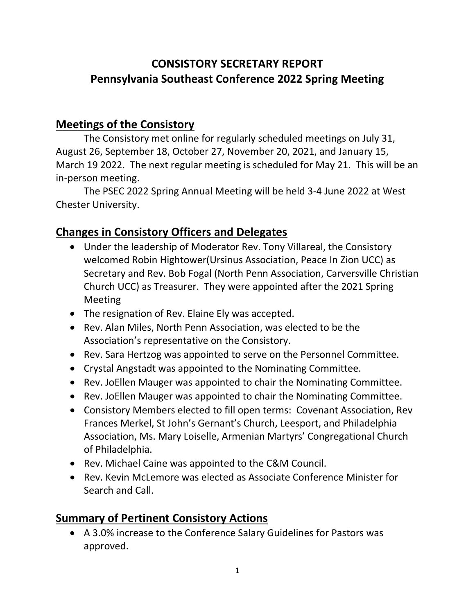## **CONSISTORY SECRETARY REPORT Pennsylvania Southeast Conference 2022 Spring Meeting**

## **Meetings of the Consistory**

The Consistory met online for regularly scheduled meetings on July 31, August 26, September 18, October 27, November 20, 2021, and January 15, March 19 2022. The next regular meeting is scheduled for May 21. This will be an in-person meeting.

The PSEC 2022 Spring Annual Meeting will be held 3-4 June 2022 at West Chester University.

## **Changes in Consistory Officers and Delegates**

- Under the leadership of Moderator Rev. Tony Villareal, the Consistory welcomed Robin Hightower(Ursinus Association, Peace In Zion UCC) as Secretary and Rev. Bob Fogal (North Penn Association, Carversville Christian Church UCC) as Treasurer. They were appointed after the 2021 Spring Meeting
- The resignation of Rev. Elaine Ely was accepted.
- Rev. Alan Miles, North Penn Association, was elected to be the Association's representative on the Consistory.
- Rev. Sara Hertzog was appointed to serve on the Personnel Committee.
- Crystal Angstadt was appointed to the Nominating Committee.
- Rev. JoEllen Mauger was appointed to chair the Nominating Committee.
- Rev. JoEllen Mauger was appointed to chair the Nominating Committee.
- Consistory Members elected to fill open terms: Covenant Association, Rev Frances Merkel, St John's Gernant's Church, Leesport, and Philadelphia Association, Ms. Mary Loiselle, Armenian Martyrs' Congregational Church of Philadelphia.
- Rev. Michael Caine was appointed to the C&M Council.
- Rev. Kevin McLemore was elected as Associate Conference Minister for Search and Call.

## **Summary of Pertinent Consistory Actions**

• A 3.0% increase to the Conference Salary Guidelines for Pastors was approved.